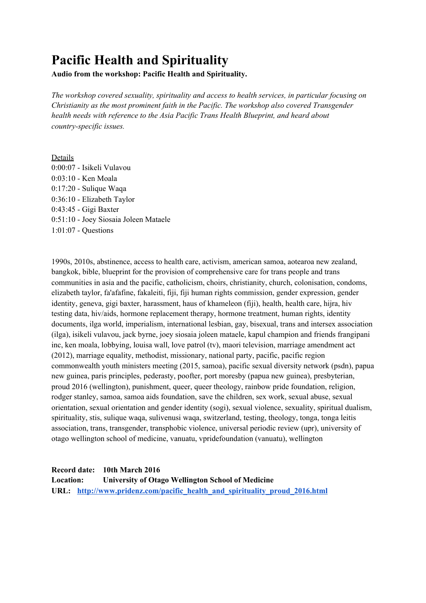# **Pacific Health and Spirituality**

**Audio from the workshop: Pacific Health and Spirituality.**

*The workshop covered sexuality, spirituality and access to health services, in particular focusing on Christianity as the most prominent faith in the Pacific. The workshop also covered Transgender health needs with reference to the Asia Pacific Trans Health Blueprint, and heard about country-specific issues.*

# Details

0:00:07 - Isikeli Vulavou 0:03:10 - Ken Moala 0:17:20 - Sulique Waqa 0:36:10 - Elizabeth Taylor 0:43:45 - Gigi Baxter 0:51:10 - Joey Siosaia Joleen Mataele 1:01:07 - Questions

1990s, 2010s, abstinence, access to health care, activism, american samoa, aotearoa new zealand, bangkok, bible, blueprint for the provision of comprehensive care for trans people and trans communities in asia and the pacific, catholicism, choirs, christianity, church, colonisation, condoms, elizabeth taylor, fa'afafine, fakaleiti, fiji, fiji human rights commission, gender expression, gender identity, geneva, gigi baxter, harassment, haus of khameleon (fiji), health, health care, hijra, hiv testing data, hiv/aids, hormone replacement therapy, hormone treatment, human rights, identity documents, ilga world, imperialism, international lesbian, gay, bisexual, trans and intersex association (ilga), isikeli vulavou, jack byrne, joey siosaia joleen mataele, kapul champion and friends frangipani inc, ken moala, lobbying, louisa wall, love patrol (tv), maori television, marriage amendment act (2012), marriage equality, methodist, missionary, national party, pacific, pacific region commonwealth youth ministers meeting (2015, samoa), pacific sexual diversity network (psdn), papua new guinea, paris principles, pederasty, poofter, port moresby (papua new guinea), presbyterian, proud 2016 (wellington), punishment, queer, queer theology, rainbow pride foundation, religion, rodger stanley, samoa, samoa aids foundation, save the children, sex work, sexual abuse, sexual orientation, sexual orientation and gender identity (sogi), sexual violence, sexuality, spiritual dualism, spirituality, stis, sulique waqa, sulivenusi waqa, switzerland, testing, theology, tonga, tonga leitis association, trans, transgender, transphobic violence, universal periodic review (upr), university of otago wellington school of medicine, vanuatu, vpridefoundation (vanuatu), wellington

**Record date: 10th March 2016**

**Location: University of Otago Wellington School of Medicine URL: [http://www.pridenz.com/pacific\\_health\\_and\\_spirituality\\_proud\\_2016.html](http://www.pridenz.com/pacific_health_and_spirituality_proud_2016.html)**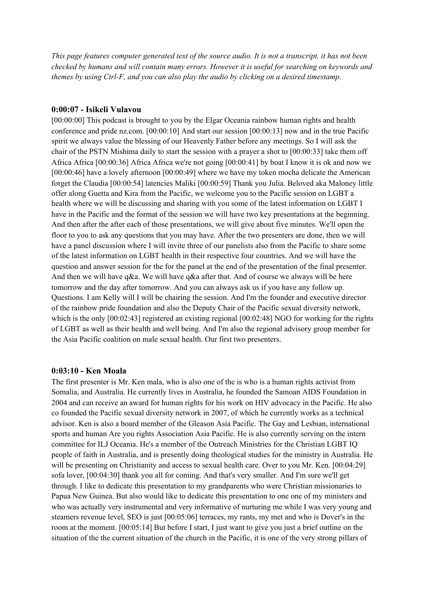This page features computer generated text of the source audio. It is not a transcript, it has not been *checked by humans and will contain many errors. However it is useful for searching on keywords and themes by using Ctrl-F, and you can also play the audio by clicking on a desired timestamp.*

## **0:00:07 - Isikeli Vulavou**

[00:00:00] This podcast is brought to you by the Elgar Oceania rainbow human rights and health conference and pride nz.com. [00:00:10] And start our session [00:00:13] now and in the true Pacific spirit we always value the blessing of our Heavenly Father before any meetings. So I will ask the chair of the PSTN Mishima daily to start the session with a prayer a shot to [00:00:33] take them off Africa Africa [00:00:36] Africa Africa we're not going [00:00:41] by boat I know it is ok and now we [00:00:46] have a lovely afternoon [00:00:49] where we have my token mocha delicate the American forget the Claudia [00:00:54] latencies Maliki [00:00:59] Thank you Julia. Beloved aka Maloney little offer along Guetta and Kira from the Pacific, we welcome you to the Pacific session on LGBT a health where we will be discussing and sharing with you some of the latest information on LGBT I have in the Pacific and the format of the session we will have two key presentations at the beginning. And then after the after each of those presentations, we will give about five minutes. We'll open the floor to you to ask any questions that you may have. After the two presenters are done, then we will have a panel discussion where I will invite three of our panelists also from the Pacific to share some of the latest information on LGBT health in their respective four countries. And we will have the question and answer session for the for the panel at the end of the presentation of the final presenter. And then we will have q&a. We will have q&a after that. And of course we always will be here tomorrow and the day after tomorrow. And you can always ask us if you have any follow up. Questions. I am Kelly will I will be chairing the session. And I'm the founder and executive director of the rainbow pride foundation and also the Deputy Chair of the Pacific sexual diversity network, which is the only [00:02:43] registered an existing regional [00:02:48] NGO for working for the rights of LGBT as well as their health and well being. And I'm also the regional advisory group member for the Asia Pacific coalition on male sexual health. Our first two presenters.

#### **0:03:10 - Ken Moala**

The first presenter is Mr. Ken mala, who is also one of the is who is a human rights activist from Somalia, and Australia. He currently lives in Australia, he founded the Samoan AIDS Foundation in 2004 and can receive an award for human rights for his work on HIV advocacy in the Pacific. He also co founded the Pacific sexual diversity network in 2007, of which he currently works as a technical advisor. Ken is also a board member of the Gleason Asia Pacific. The Gay and Lesbian, international sports and human Are you rights Association Asia Pacific. He is also currently serving on the intern committee for ILJ Oceania. He's a member of the Outreach Ministries for the Christian LGBT IQ people of faith in Australia, and is presently doing theological studies for the ministry in Australia. He will be presenting on Christianity and access to sexual health care. Over to you Mr. Ken. [00:04:29] sofa lover, [00:04:30] thank you all for coming. And that's very smaller. And I'm sure we'll get through. I like to dedicate this presentation to my grandparents who were Christian missionaries to Papua New Guinea. But also would like to dedicate this presentation to one one of my ministers and who was actually very instrumental and very informative of nurturing me while I was very young and steamers revenue level, SEO is just [00:05:06] terraces, my rants, my met and who is Dover's in the room at the moment. [00:05:14] But before I start, I just want to give you just a brief outline on the situation of the the current situation of the church in the Pacific, it is one of the very strong pillars of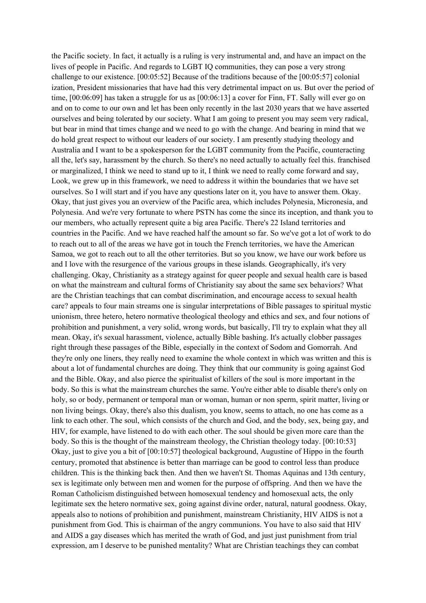the Pacific society. In fact, it actually is a ruling is very instrumental and, and have an impact on the lives of people in Pacific. And regards to LGBT IQ communities, they can pose a very strong challenge to our existence. [00:05:52] Because of the traditions because of the [00:05:57] colonial ization, President missionaries that have had this very detrimental impact on us. But over the period of time, [00:06:09] has taken a struggle for us as [00:06:13] a cover for Finn, FT. Sally will ever go on and on to come to our own and let has been only recently in the last 2030 years that we have asserted ourselves and being tolerated by our society. What I am going to present you may seem very radical, but bear in mind that times change and we need to go with the change. And bearing in mind that we do hold great respect to without our leaders of our society. I am presently studying theology and Australia and I want to be a spokesperson for the LGBT community from the Pacific, counteracting all the, let's say, harassment by the church. So there's no need actually to actually feel this. franchised or marginalized, I think we need to stand up to it, I think we need to really come forward and say, Look, we grew up in this framework, we need to address it within the boundaries that we have set ourselves. So I will start and if you have any questions later on it, you have to answer them. Okay. Okay, that just gives you an overview of the Pacific area, which includes Polynesia, Micronesia, and Polynesia. And we're very fortunate to where PSTN has come the since its inception, and thank you to our members, who actually represent quite a big area Pacific. There's 22 Island territories and countries in the Pacific. And we have reached half the amount so far. So we've got a lot of work to do to reach out to all of the areas we have got in touch the French territories, we have the American Samoa, we got to reach out to all the other territories. But so you know, we have our work before us and I love with the resurgence of the various groups in these islands. Geographically, it's very challenging. Okay, Christianity as a strategy against for queer people and sexual health care is based on what the mainstream and cultural forms of Christianity say about the same sex behaviors? What are the Christian teachings that can combat discrimination, and encourage access to sexual health care? appeals to four main streams one is singular interpretations of Bible passages to spiritual mystic unionism, three hetero, hetero normative theological theology and ethics and sex, and four notions of prohibition and punishment, a very solid, wrong words, but basically, I'll try to explain what they all mean. Okay, it's sexual harassment, violence, actually Bible bashing. It's actually clobber passages right through these passages of the Bible, especially in the context of Sodom and Gomorrah. And they're only one liners, they really need to examine the whole context in which was written and this is about a lot of fundamental churches are doing. They think that our community is going against God and the Bible. Okay, and also pierce the spiritualist of killers of the soul is more important in the body. So this is what the mainstream churches the same. You're either able to disable there's only on holy, so or body, permanent or temporal man or woman, human or non sperm, spirit matter, living or non living beings. Okay, there's also this dualism, you know, seems to attach, no one has come as a link to each other. The soul, which consists of the church and God, and the body, sex, being gay, and HIV, for example, have listened to do with each other. The soul should be given more care than the body. So this is the thought of the mainstream theology, the Christian theology today. [00:10:53] Okay, just to give you a bit of [00:10:57] theological background, Augustine of Hippo in the fourth century, promoted that abstinence is better than marriage can be good to control less than produce children. This is the thinking back then. And then we haven't St. Thomas Aquinas and 13th century, sex is legitimate only between men and women for the purpose of offspring. And then we have the Roman Catholicism distinguished between homosexual tendency and homosexual acts, the only legitimate sex the hetero normative sex, going against divine order, natural, natural goodness. Okay, appeals also to notions of prohibition and punishment, mainstream Christianity, HIV AIDS is not a punishment from God. This is chairman of the angry communions. You have to also said that HIV and AIDS a gay diseases which has merited the wrath of God, and just just punishment from trial expression, am I deserve to be punished mentality? What are Christian teachings they can combat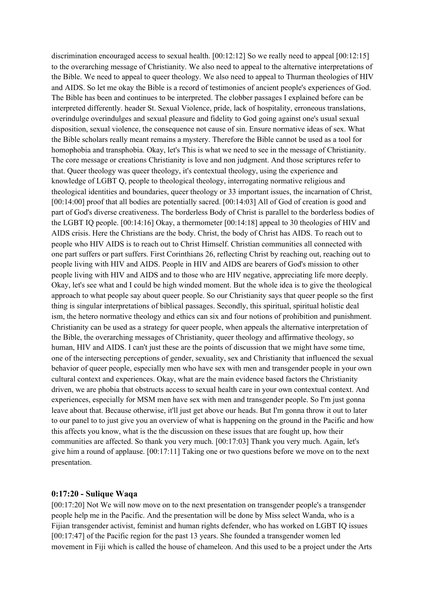discrimination encouraged access to sexual health. [00:12:12] So we really need to appeal [00:12:15] to the overarching message of Christianity. We also need to appeal to the alternative interpretations of the Bible. We need to appeal to queer theology. We also need to appeal to Thurman theologies of HIV and AIDS. So let me okay the Bible is a record of testimonies of ancient people's experiences of God. The Bible has been and continues to be interpreted. The clobber passages I explained before can be interpreted differently. header St. Sexual Violence, pride, lack of hospitality, erroneous translations, overindulge overindulges and sexual pleasure and fidelity to God going against one's usual sexual disposition, sexual violence, the consequence not cause of sin. Ensure normative ideas of sex. What the Bible scholars really meant remains a mystery. Therefore the Bible cannot be used as a tool for homophobia and transphobia. Okay, let's This is what we need to see in the message of Christianity. The core message or creations Christianity is love and non judgment. And those scriptures refer to that. Queer theology was queer theology, it's contextual theology, using the experience and knowledge of LGBT Q, people to theological theology, interrogating normative religious and theological identities and boundaries, queer theology or 33 important issues, the incarnation of Christ, [00:14:00] proof that all bodies are potentially sacred. [00:14:03] All of God of creation is good and part of God's diverse creativeness. The borderless Body of Christ is parallel to the borderless bodies of the LGBT IQ people. [00:14:16] Okay, a thermometer [00:14:18] appeal to 30 theologies of HIV and AIDS crisis. Here the Christians are the body. Christ, the body of Christ has AIDS. To reach out to people who HIV AIDS is to reach out to Christ Himself. Christian communities all connected with one part suffers or part suffers. First Corinthians 26, reflecting Christ by reaching out, reaching out to people living with HIV and AIDS. People in HIV and AIDS are bearers of God's mission to other people living with HIV and AIDS and to those who are HIV negative, appreciating life more deeply. Okay, let's see what and I could be high winded moment. But the whole idea is to give the theological approach to what people say about queer people. So our Christianity says that queer people so the first thing is singular interpretations of biblical passages. Secondly, this spiritual, spiritual holistic deal ism, the hetero normative theology and ethics can six and four notions of prohibition and punishment. Christianity can be used as a strategy for queer people, when appeals the alternative interpretation of the Bible, the overarching messages of Christianity, queer theology and affirmative theology, so human, HIV and AIDS. I can't just these are the points of discussion that we might have some time, one of the intersecting perceptions of gender, sexuality, sex and Christianity that influenced the sexual behavior of queer people, especially men who have sex with men and transgender people in your own cultural context and experiences. Okay, what are the main evidence based factors the Christianity driven, we are phobia that obstructs access to sexual health care in your own contextual context. And experiences, especially for MSM men have sex with men and transgender people. So I'm just gonna leave about that. Because otherwise, it'll just get above our heads. But I'm gonna throw it out to later to our panel to to just give you an overview of what is happening on the ground in the Pacific and how this affects you know, what is the the discussion on these issues that are fought up, how their communities are affected. So thank you very much. [00:17:03] Thank you very much. Again, let's give him a round of applause. [00:17:11] Taking one or two questions before we move on to the next presentation.

## **0:17:20 - Sulique Waqa**

[00:17:20] Not We will now move on to the next presentation on transgender people's a transgender people help me in the Pacific. And the presentation will be done by Miss select Wanda, who is a Fijian transgender activist, feminist and human rights defender, who has worked on LGBT IQ issues [00:17:47] of the Pacific region for the past 13 years. She founded a transgender women led movement in Fiji which is called the house of chameleon. And this used to be a project under the Arts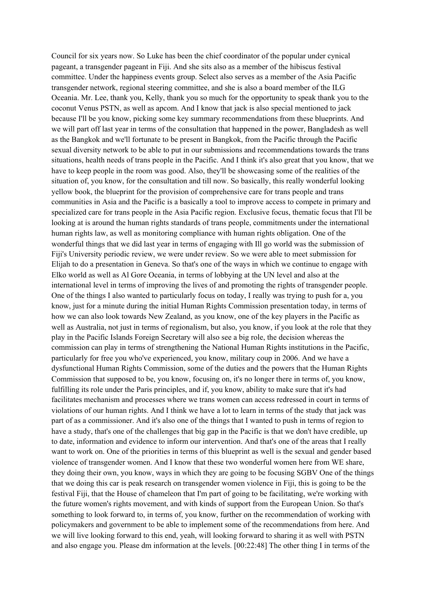Council for six years now. So Luke has been the chief coordinator of the popular under cynical pageant, a transgender pageant in Fiji. And she sits also as a member of the hibiscus festival committee. Under the happiness events group. Select also serves as a member of the Asia Pacific transgender network, regional steering committee, and she is also a board member of the ILG Oceania. Mr. Lee, thank you, Kelly, thank you so much for the opportunity to speak thank you to the coconut Venus PSTN, as well as apcom. And I know that jack is also special mentioned to jack because I'll be you know, picking some key summary recommendations from these blueprints. And we will part off last year in terms of the consultation that happened in the power, Bangladesh as well as the Bangkok and we'll fortunate to be present in Bangkok, from the Pacific through the Pacific sexual diversity network to be able to put in our submissions and recommendations towards the trans situations, health needs of trans people in the Pacific. And I think it's also great that you know, that we have to keep people in the room was good. Also, they'll be showcasing some of the realities of the situation of, you know, for the consultation and till now. So basically, this really wonderful looking yellow book, the blueprint for the provision of comprehensive care for trans people and trans communities in Asia and the Pacific is a basically a tool to improve access to compete in primary and specialized care for trans people in the Asia Pacific region. Exclusive focus, thematic focus that I'll be looking at is around the human rights standards of trans people, commitments under the international human rights law, as well as monitoring compliance with human rights obligation. One of the wonderful things that we did last year in terms of engaging with Ill go world was the submission of Fiji's University periodic review, we were under review. So we were able to meet submission for Elijah to do a presentation in Geneva. So that's one of the ways in which we continue to engage with Elko world as well as Al Gore Oceania, in terms of lobbying at the UN level and also at the international level in terms of improving the lives of and promoting the rights of transgender people. One of the things I also wanted to particularly focus on today, I really was trying to push for a, you know, just for a minute during the initial Human Rights Commission presentation today, in terms of how we can also look towards New Zealand, as you know, one of the key players in the Pacific as well as Australia, not just in terms of regionalism, but also, you know, if you look at the role that they play in the Pacific Islands Foreign Secretary will also see a big role, the decision whereas the commission can play in terms of strengthening the National Human Rights institutions in the Pacific, particularly for free you who've experienced, you know, military coup in 2006. And we have a dysfunctional Human Rights Commission, some of the duties and the powers that the Human Rights Commission that supposed to be, you know, focusing on, it's no longer there in terms of, you know, fulfilling its role under the Paris principles, and if, you know, ability to make sure that it's had facilitates mechanism and processes where we trans women can access redressed in court in terms of violations of our human rights. And I think we have a lot to learn in terms of the study that jack was part of as a commissioner. And it's also one of the things that I wanted to push in terms of region to have a study, that's one of the challenges that big gap in the Pacific is that we don't have credible, up to date, information and evidence to inform our intervention. And that's one of the areas that I really want to work on. One of the priorities in terms of this blueprint as well is the sexual and gender based violence of transgender women. And I know that these two wonderful women here from WE share, they doing their own, you know, ways in which they are going to be focusing SGBV One of the things that we doing this car is peak research on transgender women violence in Fiji, this is going to be the festival Fiji, that the House of chameleon that I'm part of going to be facilitating, we're working with the future women's rights movement, and with kinds of support from the European Union. So that's something to look forward to, in terms of, you know, further on the recommendation of working with policymakers and government to be able to implement some of the recommendations from here. And we will live looking forward to this end, yeah, will looking forward to sharing it as well with PSTN and also engage you. Please dm information at the levels. [00:22:48] The other thing I in terms of the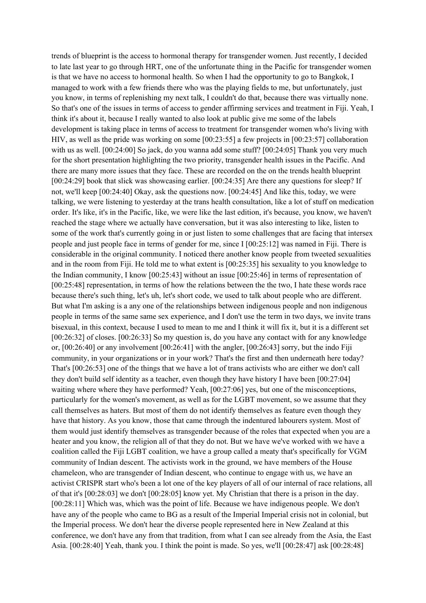trends of blueprint is the access to hormonal therapy for transgender women. Just recently, I decided to late last year to go through HRT, one of the unfortunate thing in the Pacific for transgender women is that we have no access to hormonal health. So when I had the opportunity to go to Bangkok, I managed to work with a few friends there who was the playing fields to me, but unfortunately, just you know, in terms of replenishing my next talk, I couldn't do that, because there was virtually none. So that's one of the issues in terms of access to gender affirming services and treatment in Fiji. Yeah, I think it's about it, because I really wanted to also look at public give me some of the labels development is taking place in terms of access to treatment for transgender women who's living with HIV, as well as the pride was working on some [00:23:55] a few projects in [00:23:57] collaboration with us as well. [00:24:00] So jack, do you wanna add some stuff? [00:24:05] Thank you very much for the short presentation highlighting the two priority, transgender health issues in the Pacific. And there are many more issues that they face. These are recorded on the on the trends health blueprint [00:24:29] book that slick was showcasing earlier. [00:24:35] Are there any questions for sleep? If not, we'll keep [00:24:40] Okay, ask the questions now. [00:24:45] And like this, today, we were talking, we were listening to yesterday at the trans health consultation, like a lot of stuff on medication order. It's like, it's in the Pacific, like, we were like the last edition, it's because, you know, we haven't reached the stage where we actually have conversation, but it was also interesting to like, listen to some of the work that's currently going in or just listen to some challenges that are facing that intersex people and just people face in terms of gender for me, since I [00:25:12] was named in Fiji. There is considerable in the original community. I noticed there another know people from tweeted sexualities and in the room from Fiji. He told me to what extent is [00:25:35] his sexuality to you knowledge to the Indian community, I know [00:25:43] without an issue [00:25:46] in terms of representation of [00:25:48] representation, in terms of how the relations between the the two, I hate these words race because there's such thing, let's uh, let's short code, we used to talk about people who are different. But what I'm asking is a any one of the relationships between indigenous people and non indigenous people in terms of the same same sex experience, and I don't use the term in two days, we invite trans bisexual, in this context, because I used to mean to me and I think it will fix it, but it is a different set [00:26:32] of closes. [00:26:33] So my question is, do you have any contact with for any knowledge or, [00:26:40] or any involvement [00:26:41] with the angler, [00:26:43] sorry, but the indo Fiji community, in your organizations or in your work? That's the first and then underneath here today? That's [00:26:53] one of the things that we have a lot of trans activists who are either we don't call they don't build self identity as a teacher, even though they have history I have been [00:27:04] waiting where where they have performed? Yeah, [00:27:06] yes, but one of the misconceptions, particularly for the women's movement, as well as for the LGBT movement, so we assume that they call themselves as haters. But most of them do not identify themselves as feature even though they have that history. As you know, those that came through the indentured labourers system. Most of them would just identify themselves as transgender because of the roles that expected when you are a heater and you know, the religion all of that they do not. But we have we've worked with we have a coalition called the Fiji LGBT coalition, we have a group called a meaty that's specifically for VGM community of Indian descent. The activists work in the ground, we have members of the House chameleon, who are transgender of Indian descent, who continue to engage with us, we have an activist CRISPR start who's been a lot one of the key players of all of our internal of race relations, all of that it's [00:28:03] we don't [00:28:05] know yet. My Christian that there is a prison in the day. [00:28:11] Which was, which was the point of life. Because we have indigenous people. We don't have any of the people who came to BG as a result of the Imperial Imperial crisis not in colonial, but the Imperial process. We don't hear the diverse people represented here in New Zealand at this conference, we don't have any from that tradition, from what I can see already from the Asia, the East Asia. [00:28:40] Yeah, thank you. I think the point is made. So yes, we'll [00:28:47] ask [00:28:48]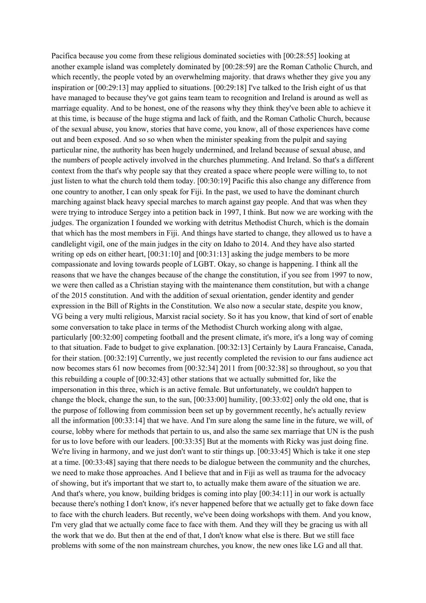Pacifica because you come from these religious dominated societies with [00:28:55] looking at another example island was completely dominated by [00:28:59] are the Roman Catholic Church, and which recently, the people voted by an overwhelming majority, that draws whether they give you any inspiration or [00:29:13] may applied to situations. [00:29:18] I've talked to the Irish eight of us that have managed to because they've got gains team team to recognition and Ireland is around as well as marriage equality. And to be honest, one of the reasons why they think they've been able to achieve it at this time, is because of the huge stigma and lack of faith, and the Roman Catholic Church, because of the sexual abuse, you know, stories that have come, you know, all of those experiences have come out and been exposed. And so so when when the minister speaking from the pulpit and saying particular nine, the authority has been hugely undermined, and Ireland because of sexual abuse, and the numbers of people actively involved in the churches plummeting. And Ireland. So that's a different context from the that's why people say that they created a space where people were willing to, to not just listen to what the church told them today. [00:30:19] Pacific this also change any difference from one country to another, I can only speak for Fiji. In the past, we used to have the dominant church marching against black heavy special marches to march against gay people. And that was when they were trying to introduce Sergey into a petition back in 1997, I think. But now we are working with the judges. The organization I founded we working with detritus Methodist Church, which is the domain that which has the most members in Fiji. And things have started to change, they allowed us to have a candlelight vigil, one of the main judges in the city on Idaho to 2014. And they have also started writing op eds on either heart, [00:31:10] and [00:31:13] asking the judge members to be more compassionate and loving towards people of LGBT. Okay, so change is happening. I think all the reasons that we have the changes because of the change the constitution, if you see from 1997 to now, we were then called as a Christian staying with the maintenance them constitution, but with a change of the 2015 constitution. And with the addition of sexual orientation, gender identity and gender expression in the Bill of Rights in the Constitution. We also now a secular state, despite you know, VG being a very multi religious, Marxist racial society. So it has you know, that kind of sort of enable some conversation to take place in terms of the Methodist Church working along with algae, particularly [00:32:00] competing football and the present climate, it's more, it's a long way of coming to that situation. Fade to budget to give explanation. [00:32:13] Certainly by Laura Francaise, Canada, for their station. [00:32:19] Currently, we just recently completed the revision to our fans audience act now becomes stars 61 now becomes from [00:32:34] 2011 from [00:32:38] so throughout, so you that this rebuilding a couple of [00:32:43] other stations that we actually submitted for, like the impersonation in this three, which is an active female. But unfortunately, we couldn't happen to change the block, change the sun, to the sun, [00:33:00] humility, [00:33:02] only the old one, that is the purpose of following from commission been set up by government recently, he's actually review all the information [00:33:14] that we have. And I'm sure along the same line in the future, we will, of course, lobby where for methods that pertain to us, and also the same sex marriage that UN is the push for us to love before with our leaders. [00:33:35] But at the moments with Ricky was just doing fine. We're living in harmony, and we just don't want to stir things up. [00:33:45] Which is take it one step at a time. [00:33:48] saying that there needs to be dialogue between the community and the churches, we need to make those approaches. And I believe that and in Fiji as well as trauma for the advocacy of showing, but it's important that we start to, to actually make them aware of the situation we are. And that's where, you know, building bridges is coming into play [00:34:11] in our work is actually because there's nothing I don't know, it's never happened before that we actually get to fake down face to face with the church leaders. But recently, we've been doing workshops with them. And you know, I'm very glad that we actually come face to face with them. And they will they be gracing us with all the work that we do. But then at the end of that, I don't know what else is there. But we still face problems with some of the non mainstream churches, you know, the new ones like LG and all that.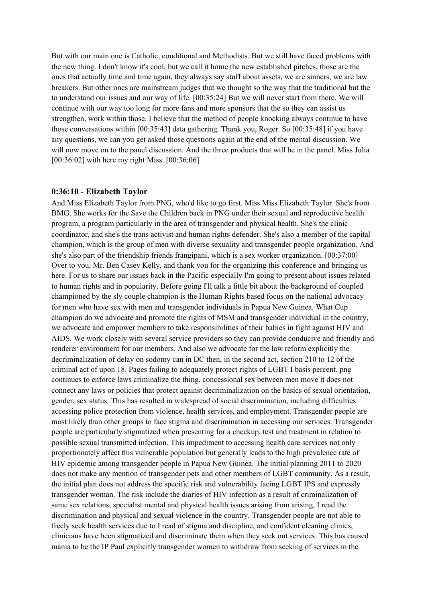But with our main one is Catholic, conditional and Methodists. But we still have faced problems with the new thing. I don't know it's cool, but we call it home the new established pitches, those are the ones that actually time and time again, they always say stuff about assets, we are sinners, we are law breakers. But other ones are mainstream judges that we thought so the way that the traditional but the to understand our issues and our way of life. [00:35:24] But we will never start from there. We will continue with our way too long for more fans and more sponsors that the so they can assist us strengthen, work within those. I believe that the method of people knocking always continue to have those conversations within [00:35:43] data gathering. Thank you, Roger. So [00:35:48] if you have any questions, we can you get asked those questions again at the end of the mental discussion. We will now move on to the panel discussion. And the three products that will be in the panel. Miss Julia [00:36:02] with here my right Miss. [00:36:06]

#### **0:36:10 - Elizabeth Taylor**

And Miss Elizabeth Taylor from PNG, who'd like to go first. Miss Miss Elizabeth Taylor. She's from BMG. She works for the Save the Children back in PNG under their sexual and reproductive health program, a program particularly in the area of transgender and physical health. She's the clinic coordinator, and she's the trans activist and human rights defender. She's also a member of the capital champion, which is the group of men with diverse sexuality and transgender people organization. And she's also part of the friendship friends frangipani, which is a sex worker organization. [00:37:00] Over to you, Mr. Ben Casey Kelly, and thank you for the organizing this conference and bringing us here. For us to share our issues back in the Pacific especially I'm going to present about issues related to human rights and in popularity. Before going I'll talk a little bit about the background of coupled championed by the sly couple champion is the Human Rights based focus on the national advocacy for men who have sex with men and transgender individuals in Papua New Guinea. What Cup champion do we advocate and promote the rights of MSM and transgender individual in the country, we advocate and empower members to take responsibilities of their babies in fight against HIV and AIDS. We work closely with several service providers so they can provide conducive and friendly and renderer environment for our members. And also we advocate for the law reform explicitly the decriminalization of delay on sodomy can in DC then, in the second act, section 210 to 12 of the criminal act of upon 18. Pages failing to adequately protect rights of LGBT I basis percent. png continues to enforce laws criminalize the thing. concessional sex between men move it does not connect any laws or policies that protect against decriminalization on the basics of sexual orientation, gender, sex status. This has resulted in widespread of social discrimination, including difficulties accessing police protection from violence, health services, and employment. Transgender people are most likely than other groups to face stigma and discrimination in accessing our services. Transgender people are particularly stigmatized when presenting for a checkup, test and treatment in relation to possible sexual transmitted infection. This impediment to accessing health care services not only proportionately affect this vulnerable population but generally leads to the high prevalence rate of HIV epidemic among transgender people in Papua New Guinea. The initial planning 2011 to 2020 does not make any mention of transgender pets and other members of LGBT community. As a result, the initial plan does not address the specific risk and vulnerability facing LGBT IPS and expressly transgender woman. The risk include the diaries of HIV infection as a result of criminalization of same sex relations, specialist mental and physical health issues arising from arising, I read the discrimination and physical and sexual violence in the country. Transgender people are not able to freely seek health services due to I read of stigma and discipline, and confident cleaning clinics, clinicians have been stigmatized and discriminate them when they seek out services. This has caused mania to be the IP Paul explicitly transgender women to withdraw from seeking of services in the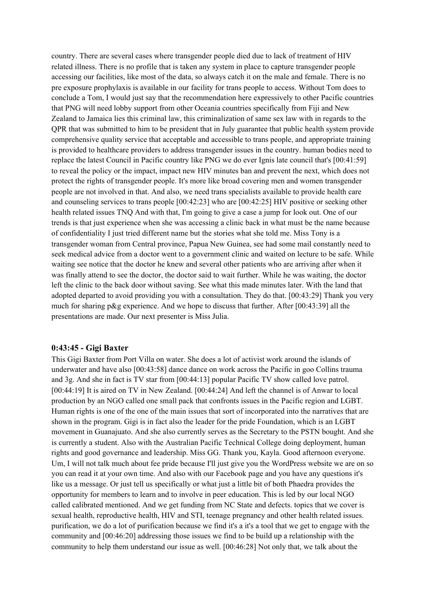country. There are several cases where transgender people died due to lack of treatment of HIV related illness. There is no profile that is taken any system in place to capture transgender people accessing our facilities, like most of the data, so always catch it on the male and female. There is no pre exposure prophylaxis is available in our facility for trans people to access. Without Tom does to conclude a Tom, I would just say that the recommendation here expressively to other Pacific countries that PNG will need lobby support from other Oceania countries specifically from Fiji and New Zealand to Jamaica lies this criminal law, this criminalization of same sex law with in regards to the QPR that was submitted to him to be president that in July guarantee that public health system provide comprehensive quality service that acceptable and accessible to trans people, and appropriate training is provided to healthcare providers to address transgender issues in the country. human bodies need to replace the latest Council in Pacific country like PNG we do ever Ignis late council that's [00:41:59] to reveal the policy or the impact, impact new HIV minutes ban and prevent the next, which does not protect the rights of transgender people. It's more like broad covering men and women transgender people are not involved in that. And also, we need trans specialists available to provide health care and counseling services to trans people [00:42:23] who are [00:42:25] HIV positive or seeking other health related issues TNQ And with that, I'm going to give a case a jump for look out. One of our trends is that just experience when she was accessing a clinic back in what must be the name because of confidentiality I just tried different name but the stories what she told me. Miss Tony is a transgender woman from Central province, Papua New Guinea, see had some mail constantly need to seek medical advice from a doctor went to a government clinic and waited on lecture to be safe. While waiting see notice that the doctor he knew and several other patients who are arriving after when it was finally attend to see the doctor, the doctor said to wait further. While he was waiting, the doctor left the clinic to the back door without saving. See what this made minutes later. With the land that adopted departed to avoid providing you with a consultation. They do that. [00:43:29] Thank you very much for sharing p&g experience. And we hope to discuss that further. After  $[00:43:39]$  all the presentations are made. Our next presenter is Miss Julia.

## **0:43:45 - Gigi Baxter**

This Gigi Baxter from Port Villa on water. She does a lot of activist work around the islands of underwater and have also [00:43:58] dance dance on work across the Pacific in goo Collins trauma and 3g. And she in fact is TV star from [00:44:13] popular Pacific TV show called love patrol. [00:44:19] It is aired on TV in New Zealand. [00:44:24] And left the channel is of Anwar to local production by an NGO called one small pack that confronts issues in the Pacific region and LGBT. Human rights is one of the one of the main issues that sort of incorporated into the narratives that are shown in the program. Gigi is in fact also the leader for the pride Foundation, which is an LGBT movement in Guanajuato. And she also currently serves as the Secretary to the PSTN bought. And she is currently a student. Also with the Australian Pacific Technical College doing deployment, human rights and good governance and leadership. Miss GG. Thank you, Kayla. Good afternoon everyone. Um, I will not talk much about fee pride because I'll just give you the WordPress website we are on so you can read it at your own time. And also with our Facebook page and you have any questions it's like us a message. Or just tell us specifically or what just a little bit of both Phaedra provides the opportunity for members to learn and to involve in peer education. This is led by our local NGO called calibrated mentioned. And we get funding from NC State and defects. topics that we cover is sexual health, reproductive health, HIV and STI, teenage pregnancy and other health related issues. purification, we do a lot of purification because we find it's a it's a tool that we get to engage with the community and [00:46:20] addressing those issues we find to be build up a relationship with the community to help them understand our issue as well. [00:46:28] Not only that, we talk about the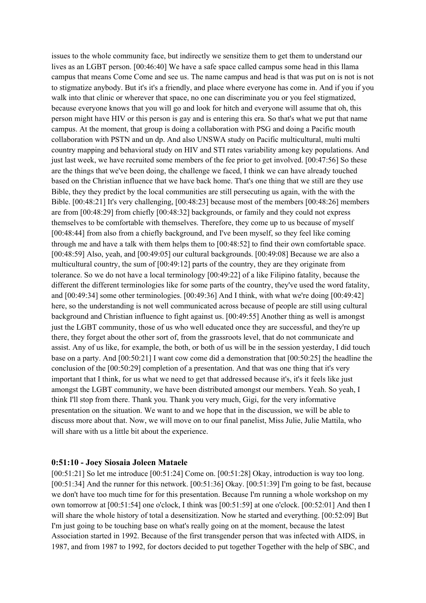issues to the whole community face, but indirectly we sensitize them to get them to understand our lives as an LGBT person. [00:46:40] We have a safe space called campus some head in this llama campus that means Come Come and see us. The name campus and head is that was put on is not is not to stigmatize anybody. But it's it's a friendly, and place where everyone has come in. And if you if you walk into that clinic or wherever that space, no one can discriminate you or you feel stigmatized, because everyone knows that you will go and look for hitch and everyone will assume that oh, this person might have HIV or this person is gay and is entering this era. So that's what we put that name campus. At the moment, that group is doing a collaboration with PSG and doing a Pacific mouth collaboration with PSTN and un dp. And also UNSWA study on Pacific multicultural, multi multi country mapping and behavioral study on HIV and STI rates variability among key populations. And just last week, we have recruited some members of the fee prior to get involved. [00:47:56] So these are the things that we've been doing, the challenge we faced, I think we can have already touched based on the Christian influence that we have back home. That's one thing that we still are they use Bible, they they predict by the local communities are still persecuting us again, with the with the Bible. [00:48:21] It's very challenging, [00:48:23] because most of the members [00:48:26] members are from [00:48:29] from chiefly [00:48:32] backgrounds, or family and they could not express themselves to be comfortable with themselves. Therefore, they come up to us because of myself [00:48:44] from also from a chiefly background, and I've been myself, so they feel like coming through me and have a talk with them helps them to [00:48:52] to find their own comfortable space. [00:48:59] Also, yeah, and [00:49:05] our cultural backgrounds. [00:49:08] Because we are also a multicultural country, the sum of [00:49:12] parts of the country, they are they originate from tolerance. So we do not have a local terminology [00:49:22] of a like Filipino fatality, because the different the different terminologies like for some parts of the country, they've used the word fatality, and [00:49:34] some other terminologies. [00:49:36] And I think, with what we're doing [00:49:42] here, so the understanding is not well communicated across because of people are still using cultural background and Christian influence to fight against us. [00:49:55] Another thing as well is amongst just the LGBT community, those of us who well educated once they are successful, and they're up there, they forget about the other sort of, from the grassroots level, that do not communicate and assist. Any of us like, for example, the both, or both of us will be in the session yesterday, I did touch base on a party. And [00:50:21] I want cow come did a demonstration that [00:50:25] the headline the conclusion of the [00:50:29] completion of a presentation. And that was one thing that it's very important that I think, for us what we need to get that addressed because it's, it's it feels like just amongst the LGBT community, we have been distributed amongst our members. Yeah. So yeah, I think I'll stop from there. Thank you. Thank you very much, Gigi, for the very informative presentation on the situation. We want to and we hope that in the discussion, we will be able to discuss more about that. Now, we will move on to our final panelist, Miss Julie, Julie Mattila, who will share with us a little bit about the experience.

## **0:51:10 - Joey Siosaia Joleen Mataele**

[00:51:21] So let me introduce [00:51:24] Come on. [00:51:28] Okay, introduction is way too long. [00:51:34] And the runner for this network. [00:51:36] Okay. [00:51:39] I'm going to be fast, because we don't have too much time for for this presentation. Because I'm running a whole workshop on my own tomorrow at [00:51:54] one o'clock, I think was [00:51:59] at one o'clock. [00:52:01] And then I will share the whole history of total a desensitization. Now he started and everything. [00:52:09] But I'm just going to be touching base on what's really going on at the moment, because the latest Association started in 1992. Because of the first transgender person that was infected with AIDS, in 1987, and from 1987 to 1992, for doctors decided to put together Together with the help of SBC, and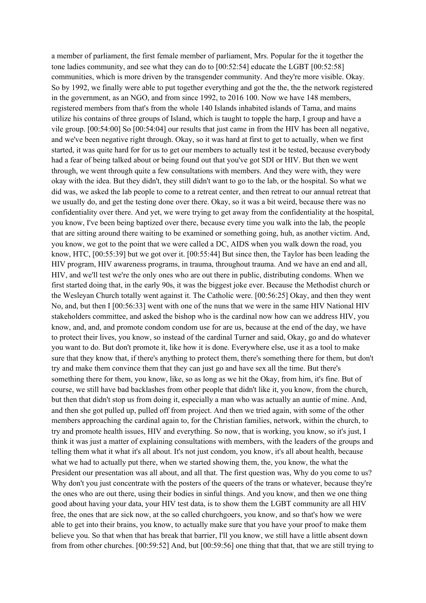a member of parliament, the first female member of parliament, Mrs. Popular for the it together the tone ladies community, and see what they can do to [00:52:54] educate the LGBT [00:52:58] communities, which is more driven by the transgender community. And they're more visible. Okay. So by 1992, we finally were able to put together everything and got the the, the the network registered in the government, as an NGO, and from since 1992, to 2016 100. Now we have 148 members, registered members from that's from the whole 140 Islands inhabited islands of Tama, and mains utilize his contains of three groups of Island, which is taught to topple the harp, I group and have a vile group. [00:54:00] So [00:54:04] our results that just came in from the HIV has been all negative, and we've been negative right through. Okay, so it was hard at first to get to actually, when we first started, it was quite hard for for us to get our members to actually test it be tested, because everybody had a fear of being talked about or being found out that you've got SDI or HIV. But then we went through, we went through quite a few consultations with members. And they were with, they were okay with the idea. But they didn't, they still didn't want to go to the lab, or the hospital. So what we did was, we asked the lab people to come to a retreat center, and then retreat to our annual retreat that we usually do, and get the testing done over there. Okay, so it was a bit weird, because there was no confidentiality over there. And yet, we were trying to get away from the confidentiality at the hospital, you know, I've been being baptized over there, because every time you walk into the lab, the people that are sitting around there waiting to be examined or something going, huh, as another victim. And, you know, we got to the point that we were called a DC, AIDS when you walk down the road, you know, HTC, [00:55:39] but we got over it. [00:55:44] But since then, the Taylor has been leading the HIV program, HIV awareness programs, in trauma, throughout trauma. And we have an end and all, HIV, and we'll test we're the only ones who are out there in public, distributing condoms. When we first started doing that, in the early 90s, it was the biggest joke ever. Because the Methodist church or the Wesleyan Church totally went against it. The Catholic were. [00:56:25] Okay, and then they went No, and, but then I [00:56:33] went with one of the nuns that we were in the same HIV National HIV stakeholders committee, and asked the bishop who is the cardinal now how can we address HIV, you know, and, and, and promote condom condom use for are us, because at the end of the day, we have to protect their lives, you know, so instead of the cardinal Turner and said, Okay, go and do whatever you want to do. But don't promote it, like how it is done. Everywhere else, use it as a tool to make sure that they know that, if there's anything to protect them, there's something there for them, but don't try and make them convince them that they can just go and have sex all the time. But there's something there for them, you know, like, so as long as we hit the Okay, from him, it's fine. But of course, we still have bad backlashes from other people that didn't like it, you know, from the church, but then that didn't stop us from doing it, especially a man who was actually an auntie of mine. And, and then she got pulled up, pulled off from project. And then we tried again, with some of the other members approaching the cardinal again to, for the Christian families, network, within the church, to try and promote health issues, HIV and everything. So now, that is working, you know, so it's just, I think it was just a matter of explaining consultations with members, with the leaders of the groups and telling them what it what it's all about. It's not just condom, you know, it's all about health, because what we had to actually put there, when we started showing them, the, you know, the what the President our presentation was all about, and all that. The first question was, Why do you come to us? Why don't you just concentrate with the posters of the queers of the trans or whatever, because they're the ones who are out there, using their bodies in sinful things. And you know, and then we one thing good about having your data, your HIV test data, is to show them the LGBT community are all HIV free, the ones that are sick now, at the so called churchgoers, you know, and so that's how we were able to get into their brains, you know, to actually make sure that you have your proof to make them believe you. So that when that has break that barrier, I'll you know, we still have a little absent down from from other churches. [00:59:52] And, but [00:59:56] one thing that that, that we are still trying to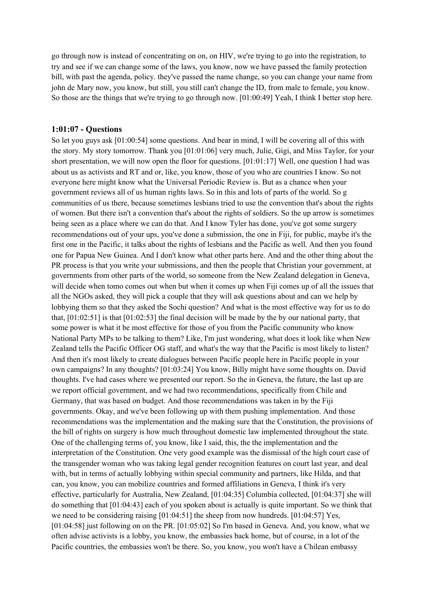go through now is instead of concentrating on on, on HIV, we're trying to go into the registration, to try and see if we can change some of the laws, you know, now we have passed the family protection bill, with past the agenda, policy. they've passed the name change, so you can change your name from john de Mary now, you know, but still, you still can't change the ID, from male to female, you know. So those are the things that we're trying to go through now. [01:00:49] Yeah, I think I better stop here.

#### **1:01:07 - Questions**

So let you guys ask [01:00:54] some questions. And bear in mind, I will be covering all of this with the story. My story tomorrow. Thank you [01:01:06] very much, Julie, Gigi, and Miss Taylor, for your short presentation, we will now open the floor for questions. [01:01:17] Well, one question I had was about us as activists and RT and or, like, you know, those of you who are countries I know. So not everyone here might know what the Universal Periodic Review is. But as a chance when your government reviews all of us human rights laws. So in this and lots of parts of the world. So g communities of us there, because sometimes lesbians tried to use the convention that's about the rights of women. But there isn't a convention that's about the rights of soldiers. So the up arrow is sometimes being seen as a place where we can do that. And I know Tyler has done, you've got some surgery recommendations out of your ups, you've done a submission, the one in Fiji, for public, maybe it's the first one in the Pacific, it talks about the rights of lesbians and the Pacific as well. And then you found one for Papua New Guinea. And I don't know what other parts here. And and the other thing about the PR process is that you write your submissions, and then the people that Christian your government, at governments from other parts of the world, so someone from the New Zealand delegation in Geneva, will decide when tomo comes out when but when it comes up when Fiji comes up of all the issues that all the NGOs asked, they will pick a couple that they will ask questions about and can we help by lobbying them so that they asked the Sochi question? And what is the most effective way for us to do that, [01:02:51] is that [01:02:53] the final decision will be made by the by our national party, that some power is what it be most effective for those of you from the Pacific community who know National Party MPs to be talking to them? Like, I'm just wondering, what does it look like when New Zealand tells the Pacific Officer OG staff, and what's the way that the Pacific is most likely to listen? And then it's most likely to create dialogues between Pacific people here in Pacific people in your own campaigns? In any thoughts? [01:03:24] You know, Billy might have some thoughts on. David thoughts. I've had cases where we presented our report. So the in Geneva, the future, the last up are we report official government, and we had two recommendations, specifically from Chile and Germany, that was based on budget. And those recommendations was taken in by the Fiji governments. Okay, and we've been following up with them pushing implementation. And those recommendations was the implementation and the making sure that the Constitution, the provisions of the bill of rights on surgery is how much throughout domestic law implemented throughout the state. One of the challenging terms of, you know, like I said, this, the the implementation and the interpretation of the Constitution. One very good example was the dismissal of the high court case of the transgender woman who was taking legal gender recognition features on court last year, and deal with, but in terms of actually lobbying within special community and partners, like Hilda, and that can, you know, you can mobilize countries and formed affiliations in Geneva, I think it's very effective, particularly for Australia, New Zealand, [01:04:35] Columbia collected, [01:04:37] she will do something that [01:04:43] each of you spoken about is actually is quite important. So we think that we need to be considering raising  $[01:04:51]$  the sheep from now hundreds.  $[01:04:57]$  Yes, [01:04:58] just following on on the PR. [01:05:02] So I'm based in Geneva. And, you know, what we often advise activists is a lobby, you know, the embassies back home, but of course, in a lot of the Pacific countries, the embassies won't be there. So, you know, you won't have a Chilean embassy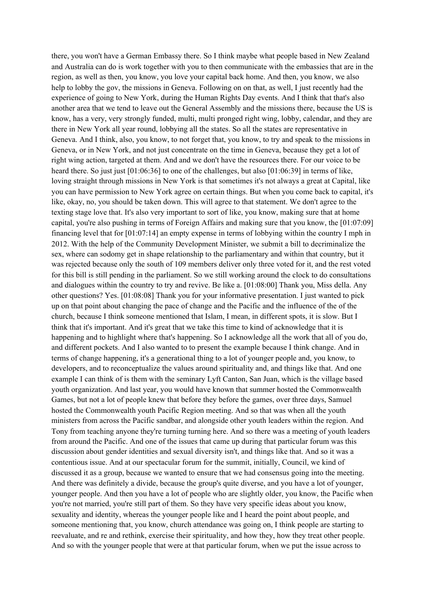there, you won't have a German Embassy there. So I think maybe what people based in New Zealand and Australia can do is work together with you to then communicate with the embassies that are in the region, as well as then, you know, you love your capital back home. And then, you know, we also help to lobby the gov, the missions in Geneva. Following on on that, as well, I just recently had the experience of going to New York, during the Human Rights Day events. And I think that that's also another area that we tend to leave out the General Assembly and the missions there, because the US is know, has a very, very strongly funded, multi, multi pronged right wing, lobby, calendar, and they are there in New York all year round, lobbying all the states. So all the states are representative in Geneva. And I think, also, you know, to not forget that, you know, to try and speak to the missions in Geneva, or in New York, and not just concentrate on the time in Geneva, because they get a lot of right wing action, targeted at them. And and we don't have the resources there. For our voice to be heard there. So just just [01:06:36] to one of the challenges, but also [01:06:39] in terms of like, loving straight through missions in New York is that sometimes it's not always a great at Capital, like you can have permission to New York agree on certain things. But when you come back to capital, it's like, okay, no, you should be taken down. This will agree to that statement. We don't agree to the texting stage love that. It's also very important to sort of like, you know, making sure that at home capital, you're also pushing in terms of Foreign Affairs and making sure that you know, the [01:07:09] financing level that for [01:07:14] an empty expense in terms of lobbying within the country I mph in 2012. With the help of the Community Development Minister, we submit a bill to decriminalize the sex, where can sodomy get in shape relationship to the parliamentary and within that country, but it was rejected because only the south of 109 members deliver only three voted for it, and the rest voted for this bill is still pending in the parliament. So we still working around the clock to do consultations and dialogues within the country to try and revive. Be like a. [01:08:00] Thank you, Miss della. Any other questions? Yes. [01:08:08] Thank you for your informative presentation. I just wanted to pick up on that point about changing the pace of change and the Pacific and the influence of the of the church, because I think someone mentioned that Islam, I mean, in different spots, it is slow. But I think that it's important. And it's great that we take this time to kind of acknowledge that it is happening and to highlight where that's happening. So I acknowledge all the work that all of you do, and different pockets. And I also wanted to to present the example because I think change. And in terms of change happening, it's a generational thing to a lot of younger people and, you know, to developers, and to reconceptualize the values around spirituality and, and things like that. And one example I can think of is them with the seminary Lyft Canton, San Juan, which is the village based youth organization. And last year, you would have known that summer hosted the Commonwealth Games, but not a lot of people knew that before they before the games, over three days, Samuel hosted the Commonwealth youth Pacific Region meeting. And so that was when all the youth ministers from across the Pacific sandbar, and alongside other youth leaders within the region. And Tony from teaching anyone they're turning turning here. And so there was a meeting of youth leaders from around the Pacific. And one of the issues that came up during that particular forum was this discussion about gender identities and sexual diversity isn't, and things like that. And so it was a contentious issue. And at our spectacular forum for the summit, initially, Council, we kind of discussed it as a group, because we wanted to ensure that we had consensus going into the meeting. And there was definitely a divide, because the group's quite diverse, and you have a lot of younger, younger people. And then you have a lot of people who are slightly older, you know, the Pacific when you're not married, you're still part of them. So they have very specific ideas about you know, sexuality and identity, whereas the younger people like and I heard the point about people, and someone mentioning that, you know, church attendance was going on, I think people are starting to reevaluate, and re and rethink, exercise their spirituality, and how they, how they treat other people. And so with the younger people that were at that particular forum, when we put the issue across to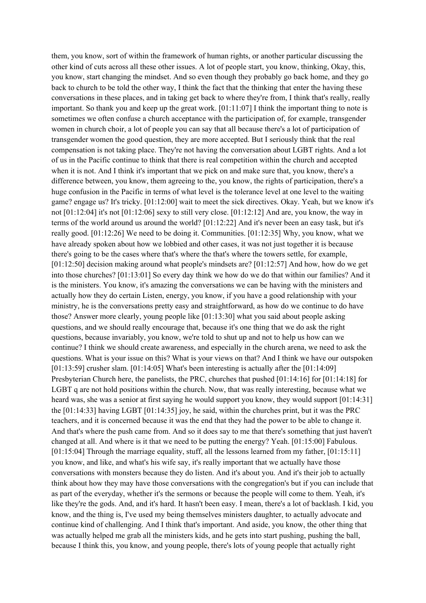them, you know, sort of within the framework of human rights, or another particular discussing the other kind of cuts across all these other issues. A lot of people start, you know, thinking, Okay, this, you know, start changing the mindset. And so even though they probably go back home, and they go back to church to be told the other way, I think the fact that the thinking that enter the having these conversations in these places, and in taking get back to where they're from, I think that's really, really important. So thank you and keep up the great work. [01:11:07] I think the important thing to note is sometimes we often confuse a church acceptance with the participation of, for example, transgender women in church choir, a lot of people you can say that all because there's a lot of participation of transgender women the good question, they are more accepted. But I seriously think that the real compensation is not taking place. They're not having the conversation about LGBT rights. And a lot of us in the Pacific continue to think that there is real competition within the church and accepted when it is not. And I think it's important that we pick on and make sure that, you know, there's a difference between, you know, them agreeing to the, you know, the rights of participation, there's a huge confusion in the Pacific in terms of what level is the tolerance level at one level to the waiting game? engage us? It's tricky. [01:12:00] wait to meet the sick directives. Okay. Yeah, but we know it's not [01:12:04] it's not [01:12:06] sexy to still very close. [01:12:12] And are, you know, the way in terms of the world around us around the world? [01:12:22] And it's never been an easy task, but it's really good. [01:12:26] We need to be doing it. Communities. [01:12:35] Why, you know, what we have already spoken about how we lobbied and other cases, it was not just together it is because there's going to be the cases where that's where the that's where the towers settle, for example, [01:12:50] decision making around what people's mindsets are? [01:12:57] And how, how do we get into those churches? [01:13:01] So every day think we how do we do that within our families? And it is the ministers. You know, it's amazing the conversations we can be having with the ministers and actually how they do certain Listen, energy, you know, if you have a good relationship with your ministry, he is the conversations pretty easy and straightforward, as how do we continue to do have those? Answer more clearly, young people like [01:13:30] what you said about people asking questions, and we should really encourage that, because it's one thing that we do ask the right questions, because invariably, you know, we're told to shut up and not to help us how can we continue? I think we should create awareness, and especially in the church arena, we need to ask the questions. What is your issue on this? What is your views on that? And I think we have our outspoken [01:13:59] crusher slam. [01:14:05] What's been interesting is actually after the [01:14:09] Presbyterian Church here, the panelists, the PRC, churches that pushed [01:14:16] for [01:14:18] for LGBT q are not hold positions within the church. Now, that was really interesting, because what we heard was, she was a senior at first saying he would support you know, they would support  $[01:14:31]$ the [01:14:33] having LGBT [01:14:35] joy, he said, within the churches print, but it was the PRC teachers, and it is concerned because it was the end that they had the power to be able to change it. And that's where the push came from. And so it does say to me that there's something that just haven't changed at all. And where is it that we need to be putting the energy? Yeah. [01:15:00] Fabulous. [01:15:04] Through the marriage equality, stuff, all the lessons learned from my father, [01:15:11] you know, and like, and what's his wife say, it's really important that we actually have those conversations with monsters because they do listen. And it's about you. And it's their job to actually think about how they may have those conversations with the congregation's but if you can include that as part of the everyday, whether it's the sermons or because the people will come to them. Yeah, it's like they're the gods. And, and it's hard. It hasn't been easy. I mean, there's a lot of backlash. I kid, you know, and the thing is, I've used my being themselves ministers daughter, to actually advocate and continue kind of challenging. And I think that's important. And aside, you know, the other thing that was actually helped me grab all the ministers kids, and he gets into start pushing, pushing the ball, because I think this, you know, and young people, there's lots of young people that actually right